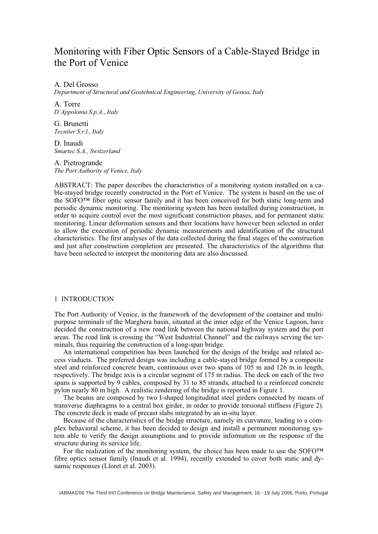# Monitoring with Fiber Optic Sensors of a Cable-Stayed Bridge in the Port of Venice

A. Del Grosso

*Department of Structural and Geotehnical Engineering, University of Genoa, Italy*

A. Torre *D'Appolonia S.p.A., Italy*

G. Brunetti *Tecniter S.r.l., Italy*

D. Inaudi *Smartec S.A., Switzerland*

A. Pietrogrande *The Port Authority of Venice, Italy* 

ABSTRACT: The paper describes the characteristics of a monitoring system installed on a cable-stayed bridge recently constructed in the Port of Venice. The system is based on the use of the SOFO™ fiber optic sensor family and it has been conceived for both static long-term and periodic dynamic monitoring. The monitoring system has been installed during construction, in order to acquire control over the most significant construction phases, and for permanent static monitoring. Linear deformation sensors and their locations have however been selected in order to allow the execution of periodic dynamic measurements and identification of the structural characteristics. The first analyses of the data collected during the final stages of the construction and just after construction completion are presented. The characteristics of the algorithms that have been selected to interpret the monitoring data are also discussed.

### 1 INTRODUCTION

The Port Authority of Venice, in the framework of the development of the container and multipurpose terminals of the Marghera basin, situated at the inner edge of the Venice Lagoon, have decided the construction of a new road link between the national highway system and the port areas. The road link is crossing the "West Industrial Channel" and the railways serving the terminals, thus requiring the construction of a long-span bridge.

An international competition has been launched for the design of the bridge and related access viaducts. The preferred design was including a cable-stayed bridge formed by a composite steel and reinforced concrete beam, continuous over two spans of 105 m and 126 m in length, respectively. The bridge axis is a circular segment of 175 m radius. The deck on each of the two spans is supported by 9 cables, composed by 31 to 85 strands, attached to a reinforced concrete pylon nearly 80 m high. A realistic rendering of the bridge is reported in Figure 1.

The beams are composed by two I-shaped longitudinal steel girders connected by means of transverse diaphragms to a central box girder, in order to provide torsional stiffness (Figure 2). The concrete deck is made of precast slabs integrated by an in-situ layer.

Because of the characteristics of the bridge structure, namely its curvature, leading to a complex behavioral scheme, it has been decided to design and install a permanent monitoring system able to verify the design assumptions and to provide information on the response of the structure during its service life.

For the realization of the monitoring system, the choice has been made to use the SOFO™ fibre optics sensor family (Inaudi et al. 1994), recently extended to cover both static and dynamic responses (Lloret et al. 2003).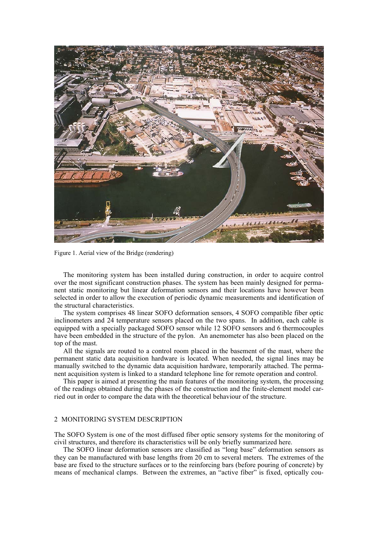

Figure 1. Aerial view of the Bridge (rendering)

The monitoring system has been installed during construction, in order to acquire control over the most significant construction phases. The system has been mainly designed for permanent static monitoring but linear deformation sensors and their locations have however been selected in order to allow the execution of periodic dynamic measurements and identification of the structural characteristics.

The system comprises 48 linear SOFO deformation sensors, 4 SOFO compatible fiber optic inclinometers and 24 temperature sensors placed on the two spans. In addition, each cable is equipped with a specially packaged SOFO sensor while 12 SOFO sensors and 6 thermocouples have been embedded in the structure of the pylon. An anemometer has also been placed on the top of the mast.

All the signals are routed to a control room placed in the basement of the mast, where the permanent static data acquisition hardware is located. When needed, the signal lines may be manually switched to the dynamic data acquisition hardware, temporarily attached. The permanent acquisition system is linked to a standard telephone line for remote operation and control.

This paper is aimed at presenting the main features of the monitoring system, the processing of the readings obtained during the phases of the construction and the finite-element model carried out in order to compare the data with the theoretical behaviour of the structure.

# 2 MONITORING SYSTEM DESCRIPTION

The SOFO System is one of the most diffused fiber optic sensory systems for the monitoring of civil structures, and therefore its characteristics will be only briefly summarized here.

The SOFO linear deformation sensors are classified as "long base" deformation sensors as they can be manufactured with base lengths from 20 cm to several meters. The extremes of the base are fixed to the structure surfaces or to the reinforcing bars (before pouring of concrete) by means of mechanical clamps. Between the extremes, an "active fiber" is fixed, optically cou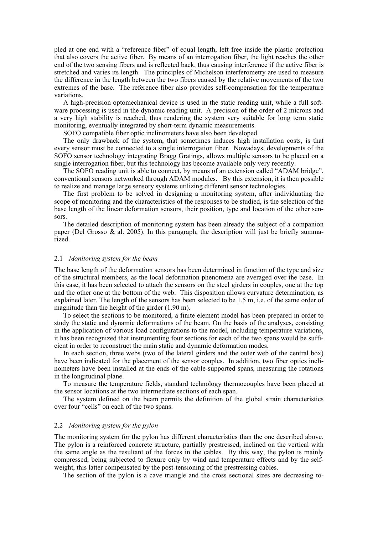pled at one end with a "reference fiber" of equal length, left free inside the plastic protection that also covers the active fiber. By means of an interrogation fiber, the light reaches the other end of the two sensing fibers and is reflected back, thus causing interference if the active fiber is stretched and varies its length. The principles of Michelson interferometry are used to measure the difference in the length between the two fibers caused by the relative movements of the two extremes of the base. The reference fiber also provides self-compensation for the temperature variations.

A high-precision optomechanical device is used in the static reading unit, while a full software processing is used in the dynamic reading unit. A precision of the order of 2 microns and a very high stability is reached, thus rendering the system very suitable for long term static monitoring, eventually integrated by short-term dynamic measurements.

SOFO compatible fiber optic inclinometers have also been developed.

The only drawback of the system, that sometimes induces high installation costs, is that every sensor must be connected to a single interrogation fiber. Nowadays, developments of the SOFO sensor technology integrating Bragg Gratings, allows multiple sensors to be placed on a single interrogation fiber, but this technology has become available only very recently.

The SOFO reading unit is able to connect, by means of an extension called "ADAM bridge", conventional sensors networked through ADAM modules. By this extension, it is then possible to realize and manage large sensory systems utilizing different sensor technologies.

The first problem to be solved in designing a monitoring system, after individuating the scope of monitoring and the characteristics of the responses to be studied, is the selection of the base length of the linear deformation sensors, their position, type and location of the other sensors.

The detailed description of monitoring system has been already the subject of a companion paper (Del Grosso & al. 2005). In this paragraph, the description will just be briefly summarized.

#### 2.1 *Monitoring system for the beam*

The base length of the deformation sensors has been determined in function of the type and size of the structural members, as the local deformation phenomena are averaged over the base. In this case, it has been selected to attach the sensors on the steel girders in couples, one at the top and the other one at the bottom of the web. This disposition allows curvature determination, as explained later. The length of the sensors has been selected to be 1.5 m, i.e. of the same order of magnitude than the height of the girder (1.90 m).

To select the sections to be monitored, a finite element model has been prepared in order to study the static and dynamic deformations of the beam. On the basis of the analyses, consisting in the application of various load configurations to the model, including temperature variations, it has been recognized that instrumenting four sections for each of the two spans would be sufficient in order to reconstruct the main static and dynamic deformation modes.

In each section, three webs (two of the lateral girders and the outer web of the central box) have been indicated for the placement of the sensor couples. In addition, two fiber optics inclinometers have been installed at the ends of the cable-supported spans, measuring the rotations in the longitudinal plane.

To measure the temperature fields, standard technology thermocouples have been placed at the sensor locations at the two intermediate sections of each span.

The system defined on the beam permits the definition of the global strain characteristics over four "cells" on each of the two spans.

### 2.2 *Monitoring system for the pylon*

The monitoring system for the pylon has different characteristics than the one described above. The pylon is a reinforced concrete structure, partially prestressed, inclined on the vertical with the same angle as the resultant of the forces in the cables. By this way, the pylon is mainly compressed, being subjected to flexure only by wind and temperature effects and by the selfweight, this latter compensated by the post-tensioning of the prestressing cables.

The section of the pylon is a cave triangle and the cross sectional sizes are decreasing to-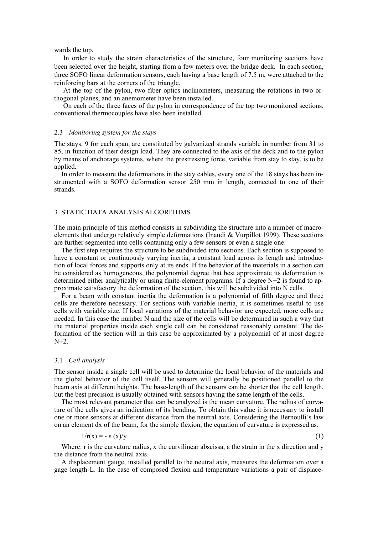wards the top.

In order to study the strain characteristics of the structure, four monitoring sections have been selected over the height, starting from a few meters over the bridge deck. In each section, three SOFO linear deformation sensors, each having a base length of 7.5 m, were attached to the reinforcing bars at the corners of the triangle.

At the top of the pylon, two fiber optics inclinometers, measuring the rotations in two orthogonal planes, and an anemometer have been installed.

On each of the three faces of the pylon in correspondence of the top two monitored sections, conventional thermocouples have also been installed.

#### 2.3 *Monitoring system for the stays*

The stays, 9 for each span, are constituted by galvanized strands variable in number from 31 to 85, in function of their design load. They are connected to the axis of the deck and to the pylon by means of anchorage systems, where the prestressing force, variable from stay to stay, is to be applied.

In order to measure the deformations in the stay cables, every one of the 18 stays has been instrumented with a SOFO deformation sensor 250 mm in length, connected to one of their strands.

# 3 STATIC DATA ANALYSIS ALGORITHMS

The main principle of this method consists in subdividing the structure into a number of macroelements that undergo relatively simple deformations (Inaudi  $&$  Vurpillot 1999). These sections are further segmented into cells containing only a few sensors or even a single one.

The first step requires the structure to be subdivided into sections. Each section is supposed to have a constant or continuously varying inertia, a constant load across its length and introduction of local forces and supports only at its ends. If the behavior of the materials in a section can be considered as homogeneous, the polynomial degree that best approximate its deformation is determined either analytically or using finite-element programs. If a degree N+2 is found to approximate satisfactory the deformation of the section, this will be subdivided into N cells.

For a beam with constant inertia the deformation is a polynomial of fifth degree and three cells are therefore necessary. For sections with variable inertia, it is sometimes useful to use cells with variable size. If local variations of the material behavior are expected, more cells are needed. In this case the number N and the size of the cells will be determined in such a way that the material properties inside each single cell can be considered reasonably constant. The deformation of the section will in this case be approximated by a polynomial of at most degree  $N+2$ .

#### 3.1 *Cell analysis*

The sensor inside a single cell will be used to determine the local behavior of the materials and the global behavior of the cell itself. The sensors will generally be positioned parallel to the beam axis at different heights. The base-length of the sensors can be shorter that the cell length, but the best precision is usually obtained with sensors having the same length of the cells.

The most relevant parameter that can be analyzed is the mean curvature. The radius of curvature of the cells gives an indication of its bending. To obtain this value it is necessary to install one or more sensors at different distance from the neutral axis. Considering the Bernoulli's law on an element dx of the beam, for the simple flexion, the equation of curvature is expressed as:

$$
1/r(x) = -\varepsilon(x)/y \tag{1}
$$

Where: r is the curvature radius, x the curvilinear abscissa,  $\varepsilon$  the strain in the x direction and y the distance from the neutral axis.

A displacement gauge, installed parallel to the neutral axis, measures the deformation over a gage length L. In the case of composed flexion and temperature variations a pair of displace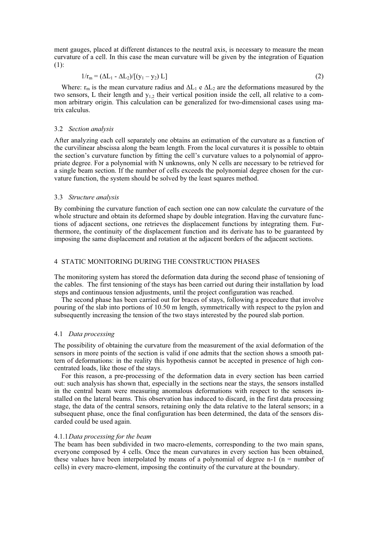ment gauges, placed at different distances to the neutral axis, is necessary to measure the mean curvature of a cell. In this case the mean curvature will be given by the integration of Equation (1):

$$
1/r_{\rm m} = (\Delta L_1 - \Delta L_2)/[(y_1 - y_2) L]
$$
\n(2)

Where:  $r_m$  is the mean curvature radius and  $\Delta L_1$  e  $\Delta L_2$  are the deformations measured by the two sensors, L their length and  $y_{1,2}$  their vertical position inside the cell, all relative to a common arbitrary origin. This calculation can be generalized for two-dimensional cases using matrix calculus.

### 3.2 *Section analysis*

After analyzing each cell separately one obtains an estimation of the curvature as a function of the curvilinear abscissa along the beam length. From the local curvatures it is possible to obtain the section's curvature function by fitting the cell's curvature values to a polynomial of appropriate degree. For a polynomial with N unknowns, only N cells are necessary to be retrieved for a single beam section. If the number of cells exceeds the polynomial degree chosen for the curvature function, the system should be solved by the least squares method.

# 3.3 *Structure analysis*

By combining the curvature function of each section one can now calculate the curvature of the whole structure and obtain its deformed shape by double integration. Having the curvature functions of adjacent sections, one retrieves the displacement functions by integrating them. Furthermore, the continuity of the displacement function and its derivate has to be guaranteed by imposing the same displacement and rotation at the adjacent borders of the adjacent sections.

# 4 STATIC MONITORING DURING THE CONSTRUCTION PHASES

The monitoring system has stored the deformation data during the second phase of tensioning of the cables. The first tensioning of the stays has been carried out during their installation by load steps and continuous tension adjustments, until the project configuration was reached.

The second phase has been carried out for braces of stays, following a procedure that involve pouring of the slab into portions of 10.50 m length, symmetrically with respect to the pylon and subsequently increasing the tension of the two stays interested by the poured slab portion.

# 4.1 *Data processing*

The possibility of obtaining the curvature from the measurement of the axial deformation of the sensors in more points of the section is valid if one admits that the section shows a smooth pattern of deformations: in the reality this hypothesis cannot be accepted in presence of high concentrated loads, like those of the stays.

For this reason, a pre-processing of the deformation data in every section has been carried out: such analysis has shown that, especially in the sections near the stays, the sensors installed in the central beam were measuring anomalous deformations with respect to the sensors installed on the lateral beams. This observation has induced to discard, in the first data processing stage, the data of the central sensors, retaining only the data relative to the lateral sensors; in a subsequent phase, once the final configuration has been determined, the data of the sensors discarded could be used again.

#### 4.1.1*Data processing for the beam*

The beam has been subdivided in two macro-elements, corresponding to the two main spans, everyone composed by 4 cells. Once the mean curvatures in every section has been obtained, these values have been interpolated by means of a polynomial of degree n-1 ( $n =$  number of cells) in every macro-element, imposing the continuity of the curvature at the boundary.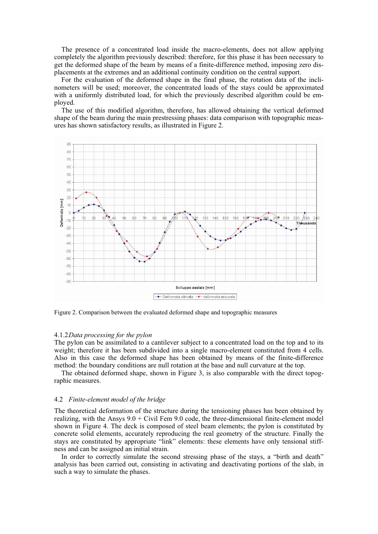The presence of a concentrated load inside the macro-elements, does not allow applying completely the algorithm previously described: therefore, for this phase it has been necessary to get the deformed shape of the beam by means of a finite-difference method, imposing zero displacements at the extremes and an additional continuity condition on the central support.

For the evaluation of the deformed shape in the final phase, the rotation data of the inclinometers will be used; moreover, the concentrated loads of the stays could be approximated with a uniformly distributed load, for which the previously described algorithm could be employed.

The use of this modified algorithm, therefore, has allowed obtaining the vertical deformed shape of the beam during the main prestressing phases: data comparison with topographic measures has shown satisfactory results, as illustrated in Figure 2.



Figure 2. Comparison between the evaluated deformed shape and topographic measures

#### 4.1.2*Data processing for the pylon*

The pylon can be assimilated to a cantilever subject to a concentrated load on the top and to its weight; therefore it has been subdivided into a single macro-element constituted from 4 cells. Also in this case the deformed shape has been obtained by means of the finite-difference method: the boundary conditions are null rotation at the base and null curvature at the top.

The obtained deformed shape, shown in Figure 3, is also comparable with the direct topographic measures.

#### 4.2 *Finite-element model of the bridge*

The theoretical deformation of the structure during the tensioning phases has been obtained by realizing, with the Ansys  $9.0 +$  Civil Fem  $9.0$  code, the three-dimensional finite-element model shown in Figure 4. The deck is composed of steel beam elements; the pylon is constituted by concrete solid elements, accurately reproducing the real geometry of the structure. Finally the stays are constituted by appropriate "link" elements: these elements have only tensional stiffness and can be assigned an initial strain.

In order to correctly simulate the second stressing phase of the stays, a "birth and death" analysis has been carried out, consisting in activating and deactivating portions of the slab, in such a way to simulate the phases.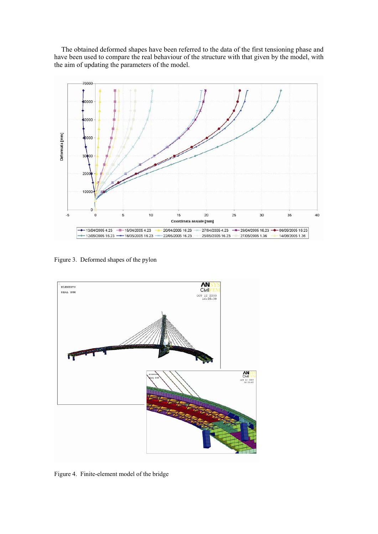The obtained deformed shapes have been referred to the data of the first tensioning phase and have been used to compare the real behaviour of the structure with that given by the model, with the aim of updating the parameters of the model.



Figure 3. Deformed shapes of the pylon



Figure 4. Finite-element model of the bridge